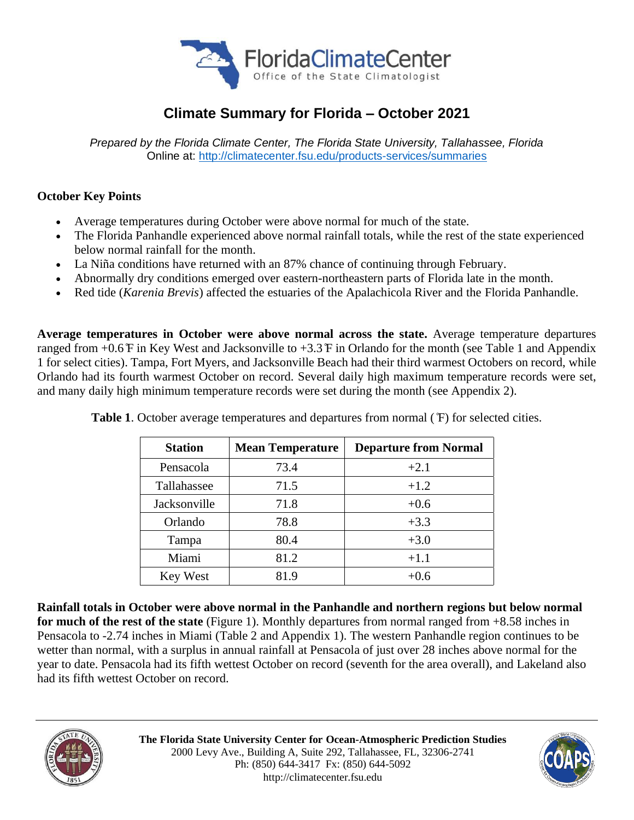

# **Climate Summary for Florida – October 2021**

*Prepared by the Florida Climate Center, The Florida State University, Tallahassee, Florida* Online at:<http://climatecenter.fsu.edu/products-services/summaries>

# **October Key Points**

- Average temperatures during October were above normal for much of the state.
- The Florida Panhandle experienced above normal rainfall totals, while the rest of the state experienced below normal rainfall for the month.
- La Niña conditions have returned with an 87% chance of continuing through February.
- Abnormally dry conditions emerged over eastern-northeastern parts of Florida late in the month.
- Red tide (*Karenia Brevis*) affected the estuaries of the Apalachicola River and the Florida Panhandle.

**Average temperatures in October were above normal across the state.** Average temperature departures ranged from  $+0.6$   $\overline{F}$  in Key West and Jacksonville to  $+3.3$   $\overline{F}$  in Orlando for the month (see Table 1 and Appendix 1 for select cities). Tampa, Fort Myers, and Jacksonville Beach had their third warmest Octobers on record, while Orlando had its fourth warmest October on record. Several daily high maximum temperature records were set, and many daily high minimum temperature records were set during the month (see Appendix 2).

| <b>Station</b> | <b>Mean Temperature</b> | <b>Departure from Normal</b> |  |  |
|----------------|-------------------------|------------------------------|--|--|
| Pensacola      | 73.4                    | $+2.1$                       |  |  |
| Tallahassee    | 71.5                    | $+1.2$                       |  |  |
| Jacksonville   | 71.8                    | $+0.6$                       |  |  |
| Orlando        | 78.8                    | $+3.3$                       |  |  |
| Tampa          | 80.4                    | $+3.0$                       |  |  |
| Miami          | 81.2                    | $+1.1$                       |  |  |
| Key West       | 81.9                    | $+0.6$                       |  |  |

**Table 1**. October average temperatures and departures from normal ( ̊F) for selected cities.

**Rainfall totals in October were above normal in the Panhandle and northern regions but below normal for much of the rest of the state** (Figure 1). Monthly departures from normal ranged from +8.58 inches in Pensacola to -2.74 inches in Miami (Table 2 and Appendix 1). The western Panhandle region continues to be wetter than normal, with a surplus in annual rainfall at Pensacola of just over 28 inches above normal for the year to date. Pensacola had its fifth wettest October on record (seventh for the area overall), and Lakeland also had its fifth wettest October on record.



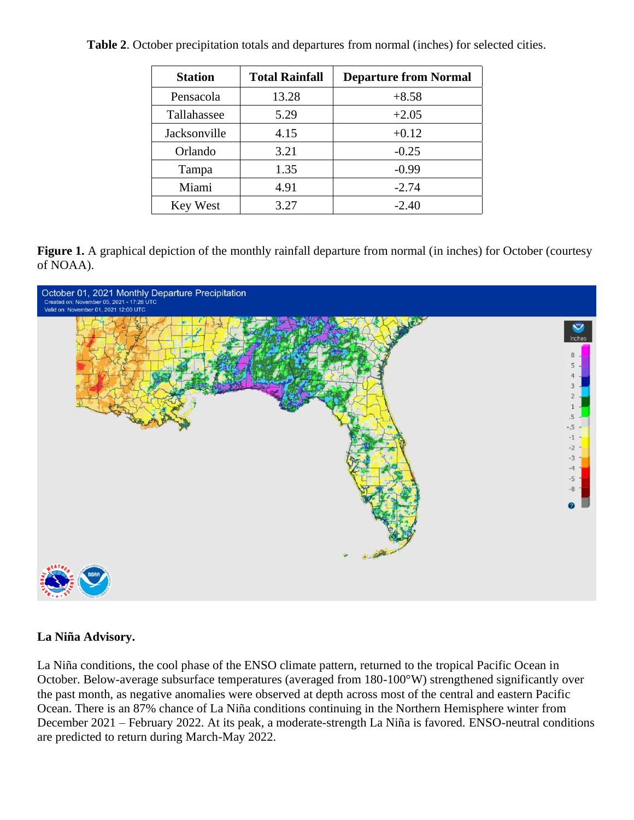| <b>Station</b> | <b>Total Rainfall</b> | <b>Departure from Normal</b> |
|----------------|-----------------------|------------------------------|
| Pensacola      | 13.28                 | $+8.58$                      |
| Tallahassee    | 5.29                  | $+2.05$                      |
| Jacksonville   | 4.15                  | $+0.12$                      |
| Orlando        | 3.21                  | $-0.25$                      |
| Tampa          | 1.35                  | $-0.99$                      |
| Miami          | 4.91                  | $-2.74$                      |
| Key West       | 3.27                  | $-2.40$                      |

**Table 2**. October precipitation totals and departures from normal (inches) for selected cities.

**Figure 1.** A graphical depiction of the monthly rainfall departure from normal (in inches) for October (courtesy of NOAA).



### **La Niña Advisory.**

La Niña conditions, the cool phase of the ENSO climate pattern, returned to the tropical Pacific Ocean in October. Below-average subsurface temperatures (averaged from 180-100°W) strengthened significantly over the past month, as negative anomalies were observed at depth across most of the central and eastern Pacific Ocean. There is an 87% chance of La Niña conditions continuing in the Northern Hemisphere winter from December 2021 – February 2022. At its peak, a moderate-strength La Niña is favored. ENSO-neutral conditions are predicted to return during March-May 2022.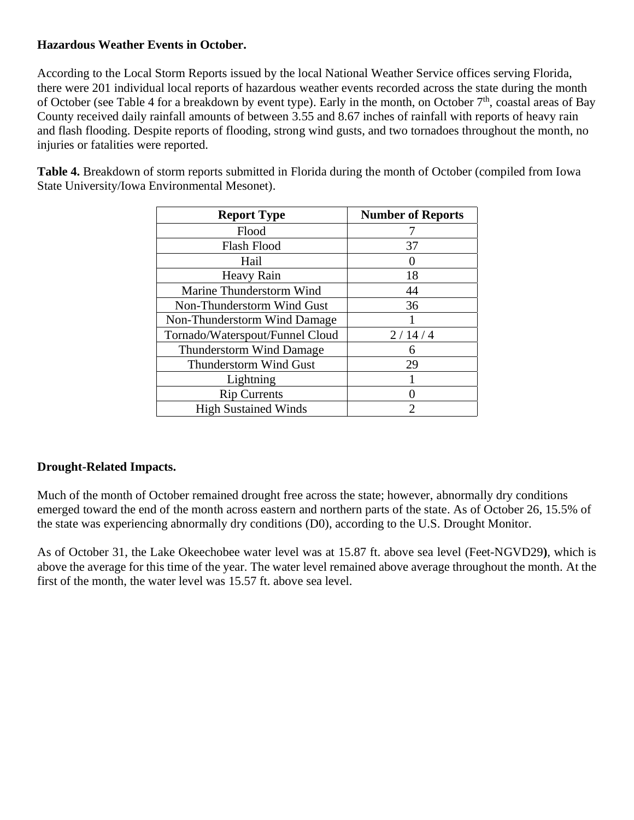## **Hazardous Weather Events in October.**

According to the Local Storm Reports issued by the local National Weather Service offices serving Florida, there were 201 individual local reports of hazardous weather events recorded across the state during the month of October (see Table 4 for a breakdown by event type). Early in the month, on October  $7<sup>th</sup>$ , coastal areas of Bay County received daily rainfall amounts of between 3.55 and 8.67 inches of rainfall with reports of heavy rain and flash flooding. Despite reports of flooding, strong wind gusts, and two tornadoes throughout the month, no injuries or fatalities were reported.

**Table 4.** Breakdown of storm reports submitted in Florida during the month of October (compiled from Iowa State University/Iowa Environmental Mesonet).

| <b>Report Type</b>              | <b>Number of Reports</b> |
|---------------------------------|--------------------------|
| Flood                           |                          |
| <b>Flash Flood</b>              | 37                       |
| Hail                            |                          |
| Heavy Rain                      | 18                       |
| Marine Thunderstorm Wind        | 44                       |
| Non-Thunderstorm Wind Gust      | 36                       |
| Non-Thunderstorm Wind Damage    |                          |
| Tornado/Waterspout/Funnel Cloud | 2/14/4                   |
| <b>Thunderstorm Wind Damage</b> | 6                        |
| Thunderstorm Wind Gust          | 29                       |
| Lightning                       |                          |
| <b>Rip Currents</b>             |                          |
| <b>High Sustained Winds</b>     | ႒                        |

# **Drought-Related Impacts.**

Much of the month of October remained drought free across the state; however, abnormally dry conditions emerged toward the end of the month across eastern and northern parts of the state. As of October 26, 15.5% of the state was experiencing abnormally dry conditions (D0), according to the U.S. Drought Monitor.

As of October 31, the Lake Okeechobee water level was at 15.87 ft. above sea level (Feet-NGVD29**)**, which is above the average for this time of the year. The water level remained above average throughout the month. At the first of the month, the water level was 15.57 ft. above sea level.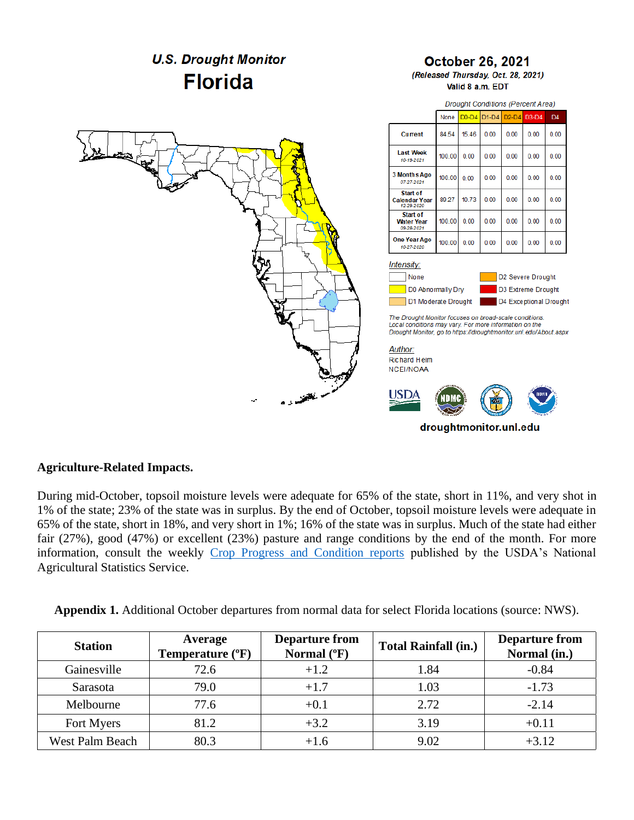

#### **Agriculture-Related Impacts.**

During mid-October, topsoil moisture levels were adequate for 65% of the state, short in 11%, and very shot in 1% of the state; 23% of the state was in surplus. By the end of October, topsoil moisture levels were adequate in 65% of the state, short in 18%, and very short in 1%; 16% of the state was in surplus. Much of the state had either fair (27%), good (47%) or excellent (23%) pasture and range conditions by the end of the month. For more information, consult the weekly Crop [Progress and Condition reports](https://usda.library.cornell.edu/concern/publications/8336h188j?locale=en) published by the USDA's National Agricultural Statistics Service.

| <b>Appendix 1.</b> Additional October departures from normal data for select Florida locations (source: NWS). |  |  |  |
|---------------------------------------------------------------------------------------------------------------|--|--|--|
|                                                                                                               |  |  |  |

| <b>Station</b>  | Average<br>Temperature (°F) | <b>Departure from</b><br>Normal (°F) | <b>Total Rainfall (in.)</b> | <b>Departure from</b><br>Normal (in.) |
|-----------------|-----------------------------|--------------------------------------|-----------------------------|---------------------------------------|
| Gainesville     | 72.6                        | $+1.2$                               | 1.84                        | $-0.84$                               |
| Sarasota        | 79.0                        | $+1.7$                               | 1.03                        | $-1.73$                               |
| Melbourne       | 77.6                        | $+0.1$                               | 2.72                        | $-2.14$                               |
| Fort Myers      | 81.2                        | $+3.2$                               | 3.19                        | $+0.11$                               |
| West Palm Beach | 80.3                        | $+1.6$                               | 9.02                        | $+3.12$                               |